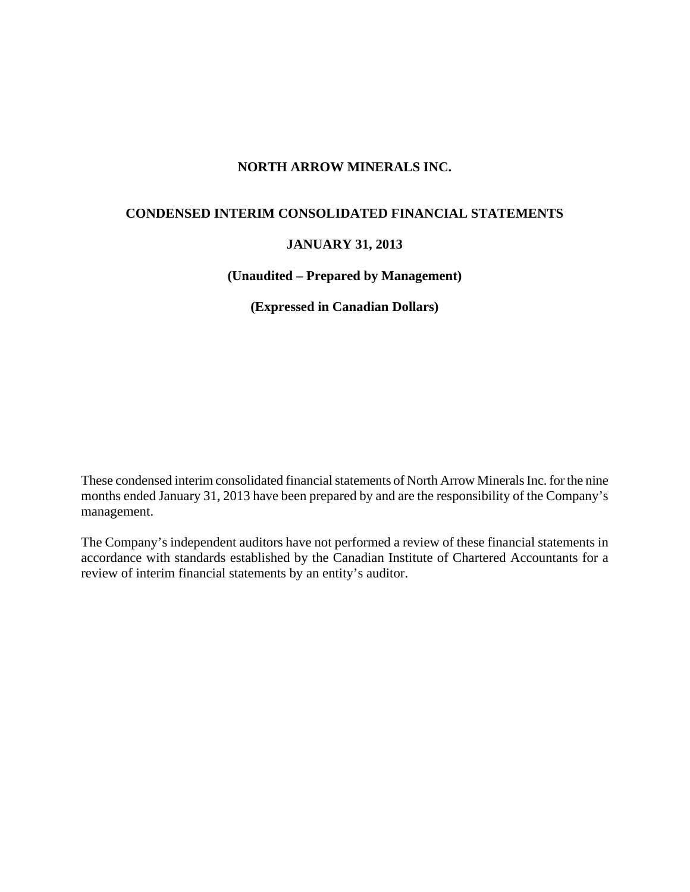# **NORTH ARROW MINERALS INC.**

# **CONDENSED INTERIM CONSOLIDATED FINANCIAL STATEMENTS**

# **JANUARY 31, 2013**

# **(Unaudited – Prepared by Management)**

**(Expressed in Canadian Dollars)** 

These condensed interim consolidated financial statements of North Arrow Minerals Inc. for the nine months ended January 31, 2013 have been prepared by and are the responsibility of the Company's management.

The Company's independent auditors have not performed a review of these financial statements in accordance with standards established by the Canadian Institute of Chartered Accountants for a review of interim financial statements by an entity's auditor.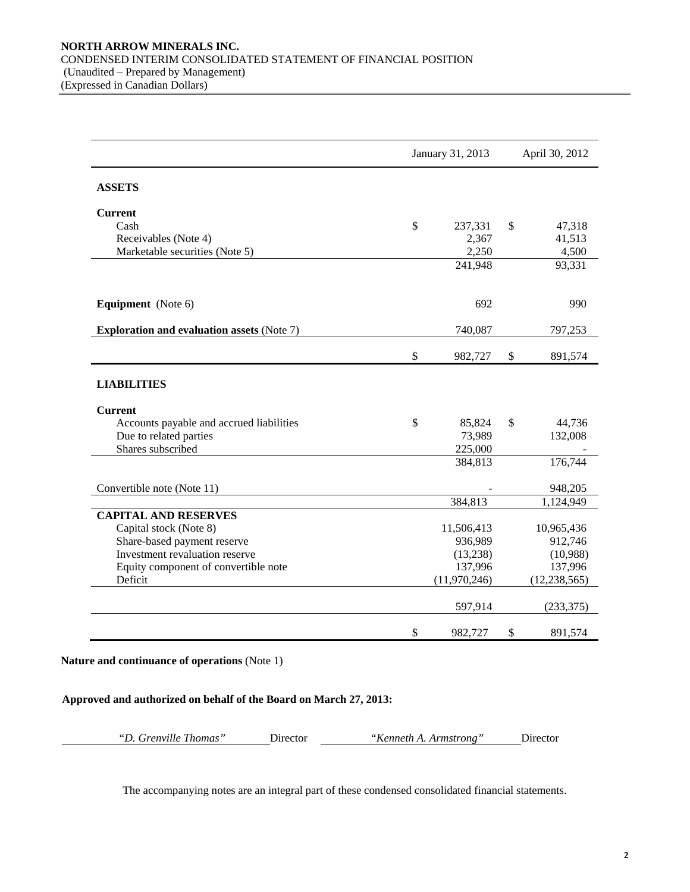|                                                   |      | January 31, 2013 | April 30, 2012 |                |  |  |
|---------------------------------------------------|------|------------------|----------------|----------------|--|--|
| <b>ASSETS</b>                                     |      |                  |                |                |  |  |
| <b>Current</b>                                    |      |                  |                |                |  |  |
| Cash                                              | \$   | 237,331          | \$             | 47,318         |  |  |
| Receivables (Note 4)                              |      | 2,367            |                | 41,513         |  |  |
| Marketable securities (Note 5)                    |      | 2,250            |                | 4,500          |  |  |
|                                                   |      | 241,948          |                | 93,331         |  |  |
|                                                   |      |                  |                |                |  |  |
| Equipment (Note 6)                                |      | 692              |                | 990            |  |  |
| <b>Exploration and evaluation assets (Note 7)</b> |      | 740,087          |                | 797,253        |  |  |
|                                                   | $\$$ | 982,727          | \$             | 891,574        |  |  |
| <b>LIABILITIES</b>                                |      |                  |                |                |  |  |
| <b>Current</b>                                    |      |                  |                |                |  |  |
| Accounts payable and accrued liabilities          | \$   | 85,824           | \$             | 44,736         |  |  |
| Due to related parties                            |      | 73,989           |                | 132,008        |  |  |
| Shares subscribed                                 |      | 225,000          |                |                |  |  |
|                                                   |      | 384,813          |                | 176,744        |  |  |
| Convertible note (Note 11)                        |      |                  |                | 948,205        |  |  |
|                                                   |      | 384,813          |                | 1,124,949      |  |  |
| <b>CAPITAL AND RESERVES</b>                       |      |                  |                |                |  |  |
| Capital stock (Note 8)                            |      | 11,506,413       |                | 10,965,436     |  |  |
| Share-based payment reserve                       |      | 936,989          |                | 912,746        |  |  |
| Investment revaluation reserve                    |      | (13,238)         |                | (10,988)       |  |  |
| Equity component of convertible note              |      | 137,996          |                | 137,996        |  |  |
| Deficit                                           |      | (11,970,246)     |                | (12, 238, 565) |  |  |
|                                                   |      | 597,914          |                | (233, 375)     |  |  |
|                                                   | \$   | 982,727          | \$             | 891,574        |  |  |

#### **Nature and continuance of operations** (Note 1)

# **Approved and authorized on behalf of the Board on March 27, 2013:**

| "D. Grenville Thomas" | Director | "Kenneth A. Armstrong" | Director |
|-----------------------|----------|------------------------|----------|
|-----------------------|----------|------------------------|----------|

The accompanying notes are an integral part of these condensed consolidated financial statements.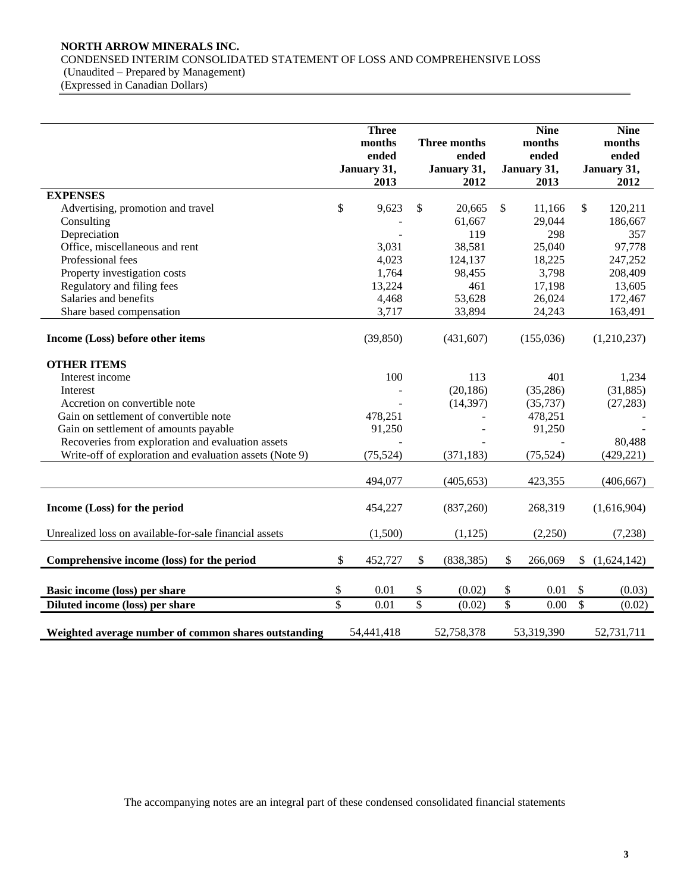# **NORTH ARROW MINERALS INC.**

CONDENSED INTERIM CONSOLIDATED STATEMENT OF LOSS AND COMPREHENSIVE LOSS

(Unaudited – Prepared by Management)

(Expressed in Canadian Dollars)

|                                                         |                         | <b>Three</b>         |                           |                      |                 | <b>Nine</b>          |                          | <b>Nine</b>          |
|---------------------------------------------------------|-------------------------|----------------------|---------------------------|----------------------|-----------------|----------------------|--------------------------|----------------------|
|                                                         |                         | months               |                           | Three months         |                 | months               |                          | months               |
|                                                         |                         | ended<br>January 31, |                           | ended<br>January 31, |                 | ended<br>January 31, |                          | ended<br>January 31, |
|                                                         |                         | 2013                 |                           | 2012                 |                 | 2013                 |                          | 2012                 |
| <b>EXPENSES</b>                                         |                         |                      |                           |                      |                 |                      |                          |                      |
| Advertising, promotion and travel                       | \$                      | 9,623                | \$                        | 20,665               | $\mathbb{S}$    | 11,166               | \$                       | 120,211              |
| Consulting                                              |                         |                      |                           | 61,667               |                 | 29,044               |                          | 186,667              |
| Depreciation                                            |                         |                      |                           | 119                  |                 | 298                  |                          | 357                  |
| Office, miscellaneous and rent                          |                         | 3,031                |                           | 38,581               |                 | 25,040               |                          | 97,778               |
| Professional fees                                       |                         | 4,023                |                           | 124,137              |                 | 18,225               |                          | 247,252              |
| Property investigation costs                            |                         | 1,764                |                           | 98,455               |                 | 3,798                |                          | 208,409              |
| Regulatory and filing fees                              |                         | 13,224               |                           | 461                  |                 | 17,198               |                          | 13,605               |
| Salaries and benefits                                   |                         | 4,468                |                           | 53,628               |                 | 26,024               |                          | 172,467              |
| Share based compensation                                |                         | 3,717                |                           | 33,894               |                 | 24,243               |                          | 163,491              |
|                                                         |                         |                      |                           |                      |                 |                      |                          |                      |
| Income (Loss) before other items                        |                         | (39, 850)            |                           | (431, 607)           |                 | (155,036)            |                          | (1,210,237)          |
|                                                         |                         |                      |                           |                      |                 |                      |                          |                      |
| <b>OTHER ITEMS</b>                                      |                         |                      |                           |                      |                 |                      |                          |                      |
| Interest income                                         |                         | 100                  |                           | 113                  |                 | 401                  |                          | 1,234                |
| Interest                                                |                         |                      |                           | (20, 186)            |                 | (35, 286)            |                          | (31, 885)            |
| Accretion on convertible note                           |                         |                      |                           | (14, 397)            |                 | (35, 737)            |                          | (27, 283)            |
| Gain on settlement of convertible note                  |                         | 478,251              |                           |                      |                 | 478,251              |                          |                      |
| Gain on settlement of amounts payable                   |                         | 91,250               |                           |                      |                 | 91,250               |                          |                      |
| Recoveries from exploration and evaluation assets       |                         |                      |                           |                      |                 |                      |                          | 80,488               |
| Write-off of exploration and evaluation assets (Note 9) |                         | (75, 524)            |                           | (371, 183)           |                 | (75, 524)            |                          | (429, 221)           |
|                                                         |                         | 494,077              |                           | (405, 653)           |                 | 423,355              |                          | (406, 667)           |
|                                                         |                         |                      |                           |                      |                 |                      |                          |                      |
| Income (Loss) for the period                            |                         | 454,227              |                           | (837,260)            |                 | 268,319              |                          | (1,616,904)          |
| Unrealized loss on available-for-sale financial assets  |                         | (1,500)              |                           | (1, 125)             |                 | (2,250)              |                          | (7,238)              |
|                                                         |                         |                      |                           |                      |                 |                      |                          |                      |
| Comprehensive income (loss) for the period              | \$                      | 452,727              | $\boldsymbol{\mathsf{S}}$ | (838, 385)           | \$              | 266,069              | \$                       | (1,624,142)          |
| Basic income (loss) per share                           | \$                      | 0.01                 | \$                        | (0.02)               | \$              | 0.01                 | \$                       | (0.03)               |
| Diluted income (loss) per share                         | $\overline{\mathbb{S}}$ | 0.01                 | $\overline{\mathcal{S}}$  | (0.02)               | $\overline{\$}$ | 0.00                 | $\overline{\mathcal{S}}$ | (0.02)               |
|                                                         |                         |                      |                           |                      |                 |                      |                          |                      |
| Weighted average number of common shares outstanding    |                         | 54,441,418           |                           | 52,758,378           |                 | 53,319,390           |                          | 52,731,711           |

The accompanying notes are an integral part of these condensed consolidated financial statements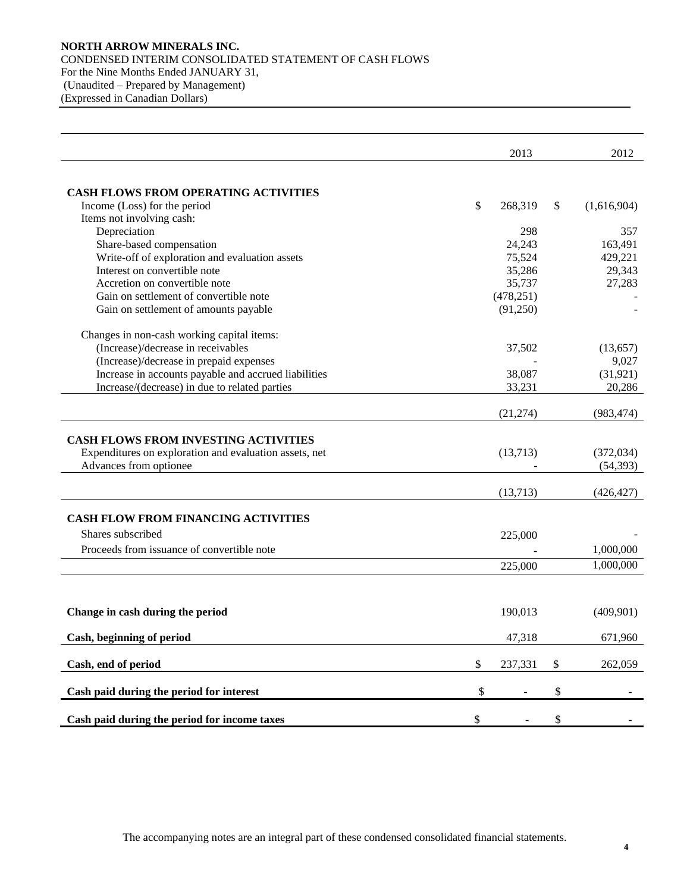## **NORTH ARROW MINERALS INC.**  CONDENSED INTERIM CONSOLIDATED STATEMENT OF CASH FLOWS For the Nine Months Ended JANUARY 31, (Unaudited – Prepared by Management) (Expressed in Canadian Dollars)

|                                                        | 2013          | 2012              |
|--------------------------------------------------------|---------------|-------------------|
|                                                        |               |                   |
| CASH FLOWS FROM OPERATING ACTIVITIES                   |               |                   |
| Income (Loss) for the period                           | \$<br>268,319 | \$<br>(1,616,904) |
| Items not involving cash:                              |               |                   |
| Depreciation                                           | 298           | 357               |
| Share-based compensation                               | 24,243        | 163,491           |
| Write-off of exploration and evaluation assets         | 75,524        | 429,221           |
| Interest on convertible note                           | 35,286        | 29,343            |
| Accretion on convertible note                          | 35,737        | 27,283            |
| Gain on settlement of convertible note                 | (478, 251)    |                   |
| Gain on settlement of amounts payable                  | (91,250)      |                   |
| Changes in non-cash working capital items:             |               |                   |
| (Increase)/decrease in receivables                     | 37,502        | (13, 657)         |
| (Increase)/decrease in prepaid expenses                |               | 9,027             |
| Increase in accounts payable and accrued liabilities   | 38,087        | (31, 921)         |
| Increase/(decrease) in due to related parties          | 33,231        | 20,286            |
|                                                        | (21,274)      | (983, 474)        |
| <b>CASH FLOWS FROM INVESTING ACTIVITIES</b>            |               |                   |
| Expenditures on exploration and evaluation assets, net | (13,713)      | (372, 034)        |
| Advances from optionee                                 |               | (54, 393)         |
|                                                        |               |                   |
|                                                        | (13,713)      | (426, 427)        |
| <b>CASH FLOW FROM FINANCING ACTIVITIES</b>             |               |                   |
| Shares subscribed                                      | 225,000       |                   |
| Proceeds from issuance of convertible note             |               | 1,000,000         |
|                                                        | 225,000       | 1,000,000         |
|                                                        |               |                   |
| Change in cash during the period                       | 190,013       | (409,901)         |
| Cash, beginning of period                              | 47,318        | 671,960           |
|                                                        |               |                   |
| Cash, end of period                                    | \$<br>237,331 | \$<br>262,059     |
| Cash paid during the period for interest               | \$            | \$                |
| Cash paid during the period for income taxes           | \$            | \$                |
|                                                        |               |                   |

The accompanying notes are an integral part of these condensed consolidated financial statements.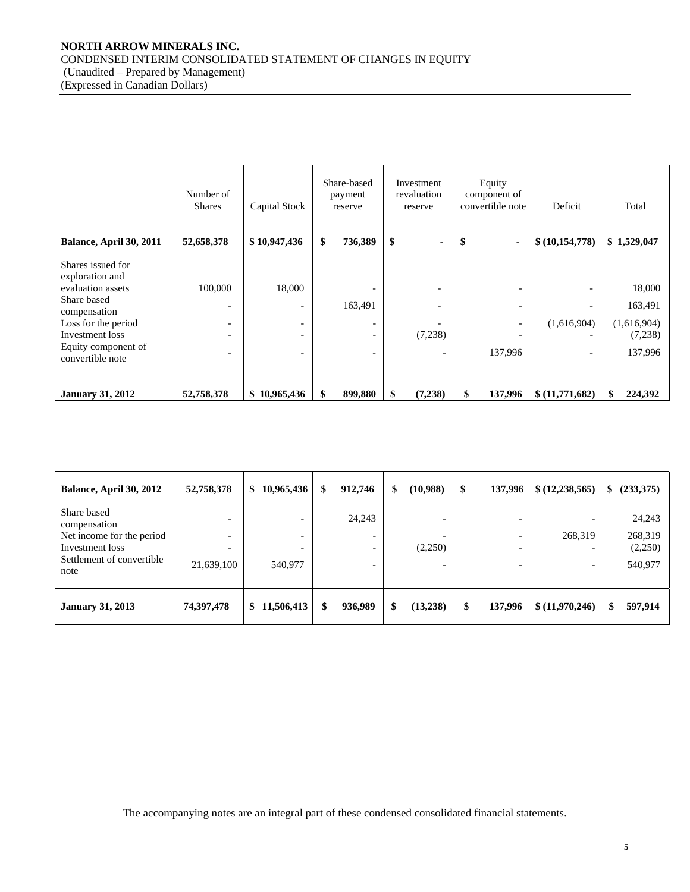## **NORTH ARROW MINERALS INC.**  CONDENSED INTERIM CONSOLIDATED STATEMENT OF CHANGES IN EQUITY (Unaudited – Prepared by Management) (Expressed in Canadian Dollars)

|                                                                                                   | Number of<br><b>Shares</b>                           | Capital Stock                           | Share-based<br>payment<br>reserve |    | Investment<br>revaluation<br>reserve | Equity<br>component of<br>convertible note                      | Deficit                   | Total                             |  |
|---------------------------------------------------------------------------------------------------|------------------------------------------------------|-----------------------------------------|-----------------------------------|----|--------------------------------------|-----------------------------------------------------------------|---------------------------|-----------------------------------|--|
| Balance, April 30, 2011                                                                           | 52,658,378                                           | \$10,947,436                            | \$<br>736,389                     | \$ | $\blacksquare$                       | -\$<br>٠                                                        | \$(10,154,778)            | \$1,529,047                       |  |
| Shares issued for<br>exploration and<br>evaluation assets<br>Share based                          | 100,000                                              | 18,000<br>$\qquad \qquad$               | 163,491                           |    |                                      | $\overline{\phantom{0}}$                                        |                           | 18,000<br>163,491                 |  |
| compensation<br>Loss for the period<br>Investment loss<br>Equity component of<br>convertible note | $\overline{\phantom{0}}$<br>$\overline{\phantom{a}}$ | -<br>$\qquad \qquad$<br>$\qquad \qquad$ | -                                 |    | (7,238)                              | $\overline{\phantom{a}}$<br>$\overline{\phantom{a}}$<br>137,996 | (1,616,904)<br>-          | (1,616,904)<br>(7,238)<br>137,996 |  |
| <b>January 31, 2012</b>                                                                           | 52,758,378                                           | \$10,965,436                            | 899,880                           |    | (7,238)                              | \$<br>137,996                                                   | $\frac{1}{2}(11,771,682)$ | 224,392                           |  |

| <b>Balance, April 30, 2012</b>                                                                                   | 52,758,378 | 10,965,436<br>\$                         | \$ | 912,746 | \$<br>(10,988) | \$<br>137,996 | \$ (12, 238, 565) | \$<br>(233,375)                         |
|------------------------------------------------------------------------------------------------------------------|------------|------------------------------------------|----|---------|----------------|---------------|-------------------|-----------------------------------------|
| Share based<br>compensation<br>Net income for the period<br>Investment loss<br>Settlement of convertible<br>note | 21,639,100 | ۰<br>$\overline{\phantom{0}}$<br>540,977 |    | 24,243  | (2,250)        |               | 268,319           | 24,243<br>268,319<br>(2,250)<br>540,977 |
| <b>January 31, 2013</b>                                                                                          | 74,397,478 | 11,506,413<br>SS.                        | S  | 936,989 | \$<br>(13,238) | \$<br>137,996 | \$(11,970,246)    | 597,914                                 |

The accompanying notes are an integral part of these condensed consolidated financial statements.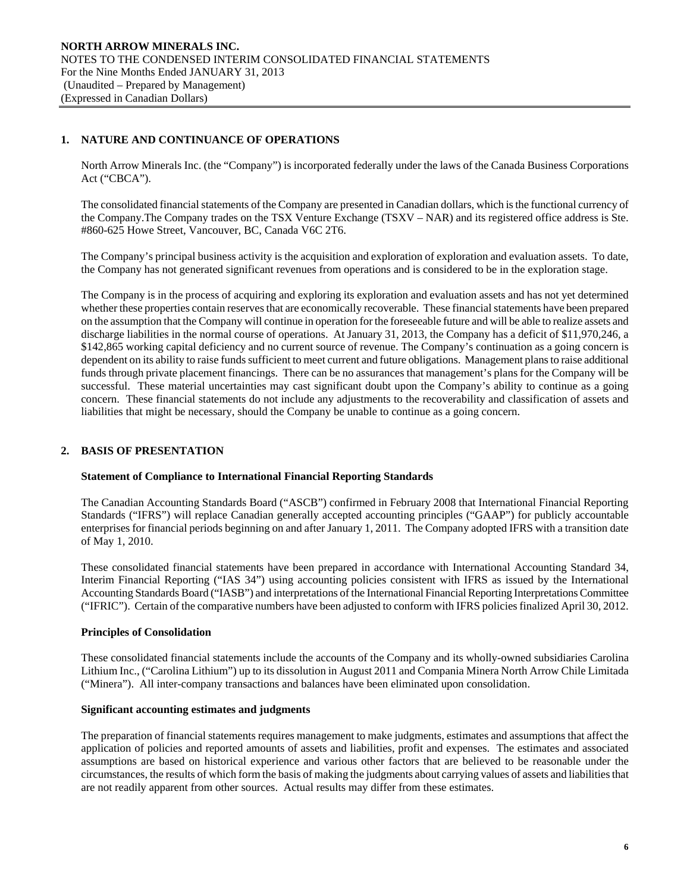# **1. NATURE AND CONTINUANCE OF OPERATIONS**

North Arrow Minerals Inc. (the "Company") is incorporated federally under the laws of the Canada Business Corporations Act ("CBCA").

The consolidated financial statements of the Company are presented in Canadian dollars, which is the functional currency of the Company.The Company trades on the TSX Venture Exchange (TSXV – NAR) and its registered office address is Ste. #860-625 Howe Street, Vancouver, BC, Canada V6C 2T6.

The Company's principal business activity is the acquisition and exploration of exploration and evaluation assets. To date, the Company has not generated significant revenues from operations and is considered to be in the exploration stage.

The Company is in the process of acquiring and exploring its exploration and evaluation assets and has not yet determined whether these properties contain reserves that are economically recoverable. These financial statements have been prepared on the assumption that the Company will continue in operation for the foreseeable future and will be able to realize assets and discharge liabilities in the normal course of operations. At January 31, 2013, the Company has a deficit of \$11,970,246, a \$142,865 working capital deficiency and no current source of revenue. The Company's continuation as a going concern is dependent on its ability to raise funds sufficient to meet current and future obligations. Management plans to raise additional funds through private placement financings. There can be no assurances that management's plans for the Company will be successful. These material uncertainties may cast significant doubt upon the Company's ability to continue as a going concern. These financial statements do not include any adjustments to the recoverability and classification of assets and liabilities that might be necessary, should the Company be unable to continue as a going concern.

## **2. BASIS OF PRESENTATION**

## **Statement of Compliance to International Financial Reporting Standards**

The Canadian Accounting Standards Board ("ASCB") confirmed in February 2008 that International Financial Reporting Standards ("IFRS") will replace Canadian generally accepted accounting principles ("GAAP") for publicly accountable enterprises for financial periods beginning on and after January 1, 2011. The Company adopted IFRS with a transition date of May 1, 2010.

These consolidated financial statements have been prepared in accordance with International Accounting Standard 34, Interim Financial Reporting ("IAS 34") using accounting policies consistent with IFRS as issued by the International Accounting Standards Board ("IASB") and interpretations of the International Financial Reporting Interpretations Committee ("IFRIC"). Certain of the comparative numbers have been adjusted to conform with IFRS policies finalized April 30, 2012.

## **Principles of Consolidation**

These consolidated financial statements include the accounts of the Company and its wholly-owned subsidiaries Carolina Lithium Inc., ("Carolina Lithium") up to its dissolution in August 2011 and Compania Minera North Arrow Chile Limitada ("Minera"). All inter-company transactions and balances have been eliminated upon consolidation.

#### **Significant accounting estimates and judgments**

The preparation of financial statements requires management to make judgments, estimates and assumptions that affect the application of policies and reported amounts of assets and liabilities, profit and expenses. The estimates and associated assumptions are based on historical experience and various other factors that are believed to be reasonable under the circumstances, the results of which form the basis of making the judgments about carrying values of assets and liabilities that are not readily apparent from other sources. Actual results may differ from these estimates.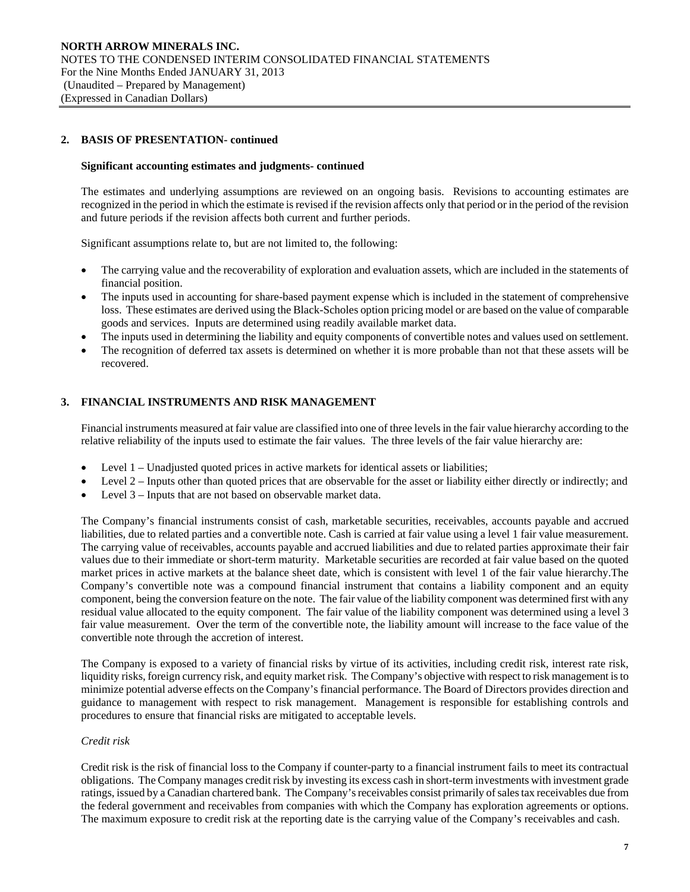# **2. BASIS OF PRESENTATION- continued**

#### **Significant accounting estimates and judgments- continued**

 The estimates and underlying assumptions are reviewed on an ongoing basis. Revisions to accounting estimates are recognized in the period in which the estimate is revised if the revision affects only that period or in the period of the revision and future periods if the revision affects both current and further periods.

Significant assumptions relate to, but are not limited to, the following:

- The carrying value and the recoverability of exploration and evaluation assets, which are included in the statements of financial position.
- The inputs used in accounting for share-based payment expense which is included in the statement of comprehensive loss. These estimates are derived using the Black-Scholes option pricing model or are based on the value of comparable goods and services. Inputs are determined using readily available market data.
- The inputs used in determining the liability and equity components of convertible notes and values used on settlement.
- The recognition of deferred tax assets is determined on whether it is more probable than not that these assets will be recovered.

# **3. FINANCIAL INSTRUMENTS AND RISK MANAGEMENT**

Financial instruments measured at fair value are classified into one of three levels in the fair value hierarchy according to the relative reliability of the inputs used to estimate the fair values. The three levels of the fair value hierarchy are:

- Level 1 Unadjusted quoted prices in active markets for identical assets or liabilities;
- Level 2 Inputs other than quoted prices that are observable for the asset or liability either directly or indirectly; and
- Level 3 Inputs that are not based on observable market data.

The Company's financial instruments consist of cash, marketable securities, receivables, accounts payable and accrued liabilities, due to related parties and a convertible note. Cash is carried at fair value using a level 1 fair value measurement. The carrying value of receivables, accounts payable and accrued liabilities and due to related parties approximate their fair values due to their immediate or short-term maturity. Marketable securities are recorded at fair value based on the quoted market prices in active markets at the balance sheet date, which is consistent with level 1 of the fair value hierarchy.The Company's convertible note was a compound financial instrument that contains a liability component and an equity component, being the conversion feature on the note. The fair value of the liability component was determined first with any residual value allocated to the equity component. The fair value of the liability component was determined using a level 3 fair value measurement. Over the term of the convertible note, the liability amount will increase to the face value of the convertible note through the accretion of interest.

The Company is exposed to a variety of financial risks by virtue of its activities, including credit risk, interest rate risk, liquidity risks, foreign currency risk, and equity market risk. The Company's objective with respect to risk management is to minimize potential adverse effects on the Company's financial performance. The Board of Directors provides direction and guidance to management with respect to risk management. Management is responsible for establishing controls and procedures to ensure that financial risks are mitigated to acceptable levels.

#### *Credit risk*

Credit risk is the risk of financial loss to the Company if counter-party to a financial instrument fails to meet its contractual obligations. The Company manages credit risk by investing its excess cash in short-term investments with investment grade ratings, issued by a Canadian chartered bank. The Company's receivables consist primarily of sales tax receivables due from the federal government and receivables from companies with which the Company has exploration agreements or options. The maximum exposure to credit risk at the reporting date is the carrying value of the Company's receivables and cash.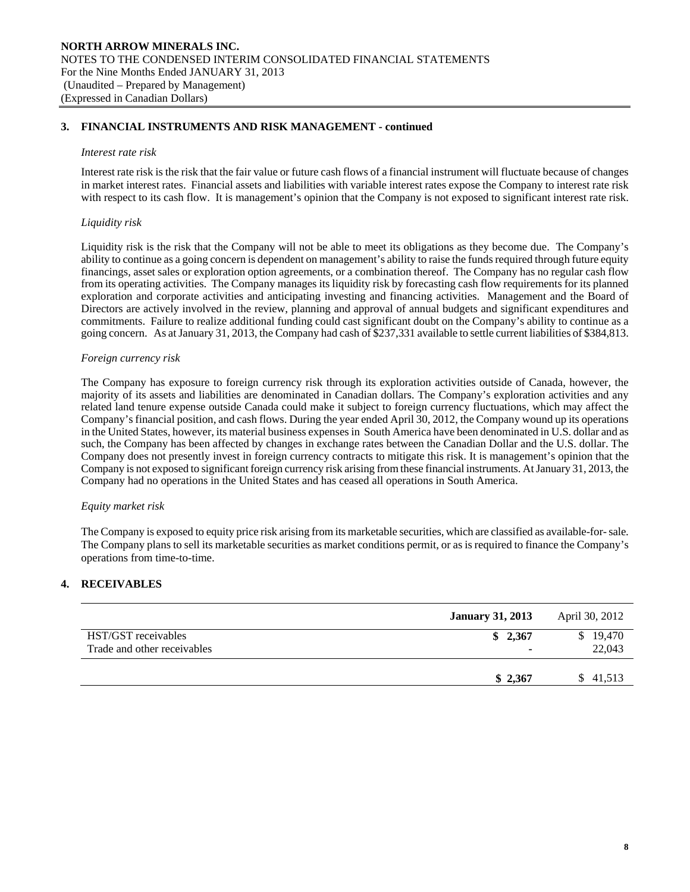## **3. FINANCIAL INSTRUMENTS AND RISK MANAGEMENT - continued**

#### *Interest rate risk*

Interest rate risk is the risk that the fair value or future cash flows of a financial instrument will fluctuate because of changes in market interest rates. Financial assets and liabilities with variable interest rates expose the Company to interest rate risk with respect to its cash flow. It is management's opinion that the Company is not exposed to significant interest rate risk.

## *Liquidity risk*

Liquidity risk is the risk that the Company will not be able to meet its obligations as they become due. The Company's ability to continue as a going concern is dependent on management's ability to raise the funds required through future equity financings, asset sales or exploration option agreements, or a combination thereof. The Company has no regular cash flow from its operating activities. The Company manages its liquidity risk by forecasting cash flow requirements for its planned exploration and corporate activities and anticipating investing and financing activities. Management and the Board of Directors are actively involved in the review, planning and approval of annual budgets and significant expenditures and commitments. Failure to realize additional funding could cast significant doubt on the Company's ability to continue as a going concern. As at January 31, 2013, the Company had cash of \$237,331 available to settle current liabilities of \$384,813.

## *Foreign currency risk*

 The Company has exposure to foreign currency risk through its exploration activities outside of Canada, however, the majority of its assets and liabilities are denominated in Canadian dollars. The Company's exploration activities and any related land tenure expense outside Canada could make it subject to foreign currency fluctuations, which may affect the Company's financial position, and cash flows. During the year ended April 30, 2012, the Company wound up its operations in the United States, however, its material business expenses in South America have been denominated in U.S. dollar and as such, the Company has been affected by changes in exchange rates between the Canadian Dollar and the U.S. dollar. The Company does not presently invest in foreign currency contracts to mitigate this risk. It is management's opinion that the Company is not exposed to significant foreign currency risk arising from these financial instruments. At January 31, 2013, the Company had no operations in the United States and has ceased all operations in South America.

## *Equity market risk*

The Company is exposed to equity price risk arising from its marketable securities, which are classified as available-for- sale. The Company plans to sell its marketable securities as market conditions permit, or as is required to finance the Company's operations from time-to-time.

## **4. RECEIVABLES**

|                                                    | <b>January 31, 2013</b> | April 30, 2012     |
|----------------------------------------------------|-------------------------|--------------------|
| HST/GST receivables<br>Trade and other receivables | \$2,367<br>۰            | \$19,470<br>22,043 |
|                                                    | \$2.367                 | \$ 41,513          |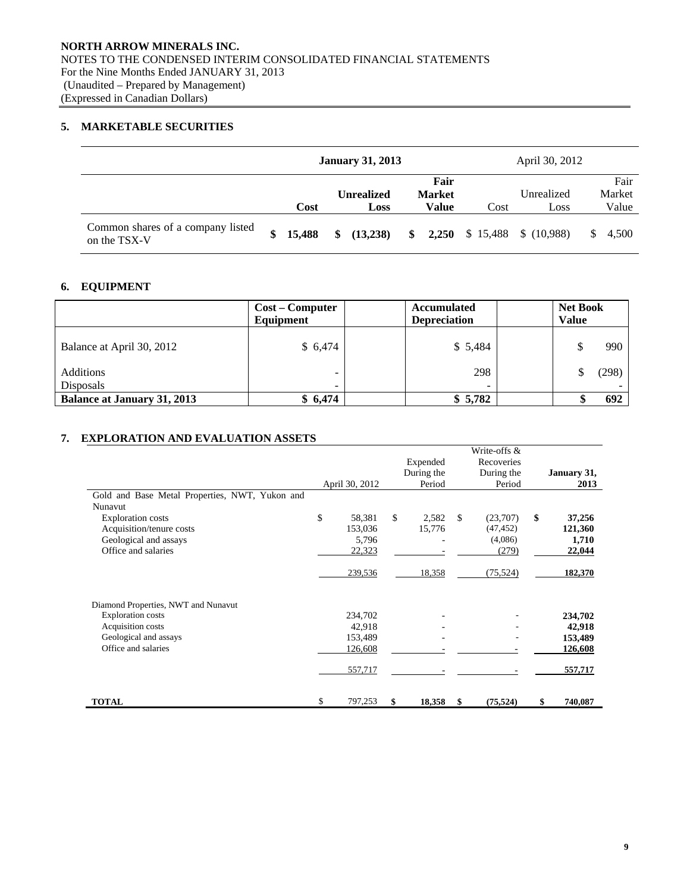# **5. MARKETABLE SECURITIES**

|                                                   |        | <b>January 31, 2013</b> |               |      | April 30, 2012                     |             |
|---------------------------------------------------|--------|-------------------------|---------------|------|------------------------------------|-------------|
|                                                   |        |                         | Fair          |      |                                    | Fair        |
|                                                   |        | <b>Unrealized</b>       | <b>Market</b> |      | Unrealized                         | Market      |
|                                                   | Cost   | Loss                    | Value         | Cost | Loss                               | Value       |
| Common shares of a company listed<br>on the TSX-V | 15,488 | \$<br>(13,238)          | \$            |      | <b>2,250</b> \$ 15,488 \$ (10,988) | 4,500<br>-S |

# **6. EQUIPMENT**

|                                    | <b>Cost – Computer</b><br>Equipment<br>\$6,474 |  | <b>Accumulated</b><br><b>Depreciation</b> | <b>Net Book</b><br><b>Value</b> |       |  |  |
|------------------------------------|------------------------------------------------|--|-------------------------------------------|---------------------------------|-------|--|--|
| Balance at April 30, 2012          |                                                |  | \$5,484                                   | \$                              | 990   |  |  |
| Additions                          |                                                |  | 298                                       |                                 | (298) |  |  |
| Disposals                          | $\overline{\phantom{0}}$                       |  | $\overline{\phantom{0}}$                  |                                 |       |  |  |
| <b>Balance at January 31, 2013</b> | \$6,474                                        |  | \$5,782                                   |                                 | 692   |  |  |

# **7. EXPLORATION AND EVALUATION ASSETS**

|                                                                                                                                                                   | April 30, 2012 |                                         | Expended<br>During the<br>Period |               | Write-offs &<br>Recoveries<br>During the<br>Period | January 31,<br>2013                        |
|-------------------------------------------------------------------------------------------------------------------------------------------------------------------|----------------|-----------------------------------------|----------------------------------|---------------|----------------------------------------------------|--------------------------------------------|
| Gold and Base Metal Properties, NWT, Yukon and<br>Nunavut<br><b>Exploration</b> costs<br>Acquisition/tenure costs<br>Geological and assays<br>Office and salaries | \$             | 58,381<br>153,036<br>5,796<br>22,323    | \$<br>2,582<br>15,776            | $\mathbf{\$}$ | (23,707)<br>(47, 452)<br>(4,086)<br>(279)          | \$<br>37,256<br>121,360<br>1,710<br>22,044 |
|                                                                                                                                                                   |                | 239,536                                 | 18,358                           |               | (75, 524)                                          | 182,370                                    |
| Diamond Properties, NWT and Nunavut<br><b>Exploration</b> costs<br>Acquisition costs<br>Geological and assays<br>Office and salaries                              |                | 234,702<br>42,918<br>153,489<br>126,608 |                                  |               |                                                    | 234,702<br>42,918<br>153,489<br>126,608    |
|                                                                                                                                                                   |                | 557,717                                 |                                  |               |                                                    | 557,717                                    |
| <b>TOTAL</b>                                                                                                                                                      | \$             | 797,253                                 | \$<br>18,358                     | \$            | (75, 524)                                          | \$<br>740,087                              |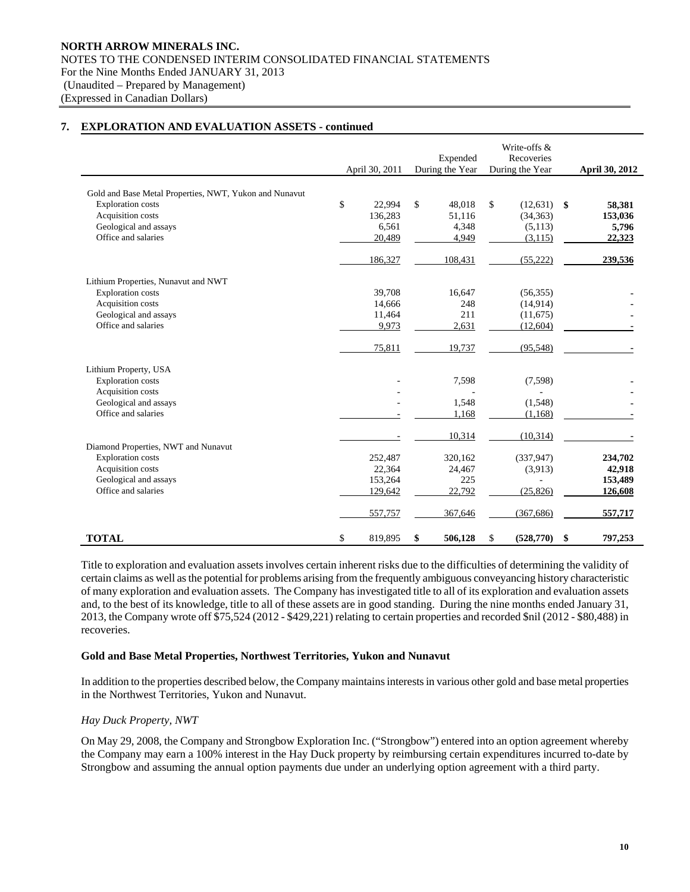|                                                                                    |    | April 30, 2011 | Expended<br>During the Year |         | Write-offs &<br>Recoveries<br>During the Year |            |     | <b>April 30, 2012</b> |
|------------------------------------------------------------------------------------|----|----------------|-----------------------------|---------|-----------------------------------------------|------------|-----|-----------------------|
|                                                                                    |    |                |                             |         |                                               |            |     |                       |
| Gold and Base Metal Properties, NWT, Yukon and Nunavut<br><b>Exploration</b> costs | \$ | 22,994         | \$                          | 48,018  | \$                                            | (12, 631)  | -\$ | 58,381                |
| Acquisition costs                                                                  |    | 136,283        |                             | 51,116  |                                               | (34, 363)  |     | 153,036               |
| Geological and assays                                                              |    | 6,561          |                             | 4,348   |                                               | (5,113)    |     | 5,796                 |
| Office and salaries                                                                |    | 20,489         |                             | 4,949   |                                               | (3, 115)   |     | 22,323                |
|                                                                                    |    | 186,327        |                             | 108,431 |                                               | (55, 222)  |     | 239,536               |
| Lithium Properties, Nunavut and NWT                                                |    |                |                             |         |                                               |            |     |                       |
| <b>Exploration</b> costs                                                           |    | 39,708         |                             | 16,647  |                                               | (56, 355)  |     |                       |
| Acquisition costs                                                                  |    | 14,666         |                             | 248     |                                               | (14,914)   |     |                       |
| Geological and assays                                                              |    | 11,464         |                             | 211     |                                               | (11,675)   |     |                       |
| Office and salaries                                                                |    | 9,973          |                             | 2,631   |                                               | (12,604)   |     |                       |
|                                                                                    |    | 75,811         |                             | 19,737  |                                               | (95, 548)  |     |                       |
| Lithium Property, USA                                                              |    |                |                             |         |                                               |            |     |                       |
| <b>Exploration</b> costs                                                           |    |                |                             | 7,598   |                                               | (7,598)    |     |                       |
| Acquisition costs                                                                  |    |                |                             |         |                                               |            |     |                       |
| Geological and assays                                                              |    |                |                             | 1,548   |                                               | (1,548)    |     |                       |
| Office and salaries                                                                |    |                |                             | 1,168   |                                               | (1,168)    |     |                       |
|                                                                                    |    |                |                             | 10,314  |                                               | (10, 314)  |     |                       |
| Diamond Properties, NWT and Nunavut                                                |    |                |                             |         |                                               |            |     |                       |
| <b>Exploration</b> costs                                                           |    | 252,487        |                             | 320,162 |                                               | (337, 947) |     | 234,702               |
| Acquisition costs                                                                  |    | 22,364         |                             | 24,467  |                                               | (3,913)    |     | 42,918                |
| Geological and assays                                                              |    | 153,264        |                             | 225     |                                               |            |     | 153,489               |
| Office and salaries                                                                |    | 129,642        |                             | 22,792  |                                               | (25, 826)  |     | 126,608               |
|                                                                                    |    | 557,757        |                             | 367,646 |                                               | (367, 686) |     | 557,717               |
| <b>TOTAL</b>                                                                       | \$ | 819,895        | \$                          | 506,128 | \$                                            | (528, 770) | \$  | 797,253               |

 Title to exploration and evaluation assets involves certain inherent risks due to the difficulties of determining the validity of certain claims as well as the potential for problems arising from the frequently ambiguous conveyancing history characteristic of many exploration and evaluation assets. The Company has investigated title to all of its exploration and evaluation assets and, to the best of its knowledge, title to all of these assets are in good standing. During the nine months ended January 31, 2013, the Company wrote off \$75,524 (2012 - \$429,221) relating to certain properties and recorded \$nil (2012 - \$80,488) in recoveries.

#### **Gold and Base Metal Properties, Northwest Territories, Yukon and Nunavut**

In addition to the properties described below, the Company maintains interests in various other gold and base metal properties in the Northwest Territories, Yukon and Nunavut.

## *Hay Duck Property, NWT*

On May 29, 2008, the Company and Strongbow Exploration Inc. ("Strongbow") entered into an option agreement whereby the Company may earn a 100% interest in the Hay Duck property by reimbursing certain expenditures incurred to-date by Strongbow and assuming the annual option payments due under an underlying option agreement with a third party.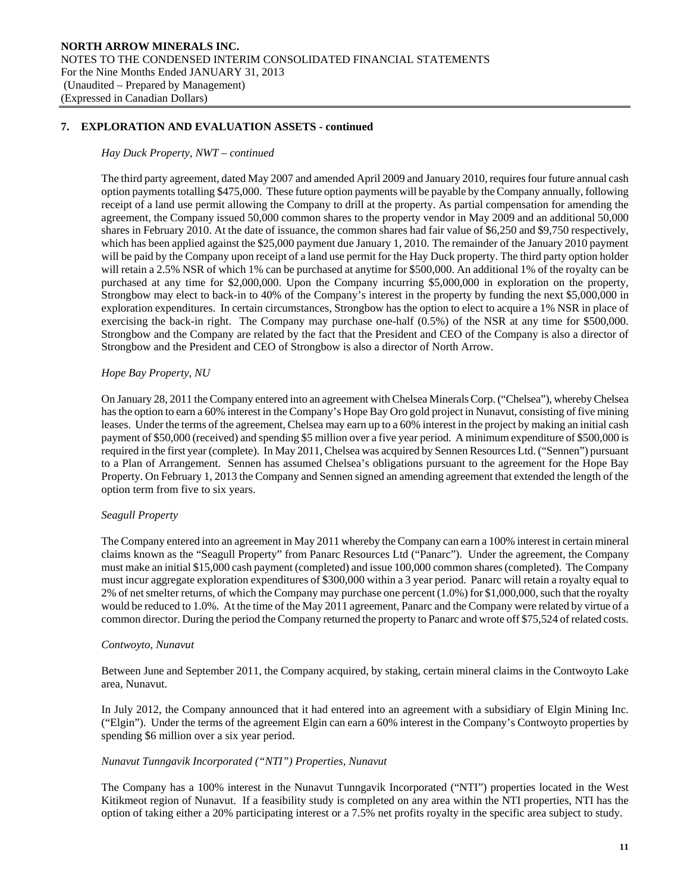#### *Hay Duck Property, NWT – continued*

The third party agreement, dated May 2007 and amended April 2009 and January 2010, requires four future annual cash option payments totalling \$475,000. These future option payments will be payable by the Company annually, following receipt of a land use permit allowing the Company to drill at the property. As partial compensation for amending the agreement, the Company issued 50,000 common shares to the property vendor in May 2009 and an additional 50,000 shares in February 2010. At the date of issuance, the common shares had fair value of \$6,250 and \$9,750 respectively, which has been applied against the \$25,000 payment due January 1, 2010. The remainder of the January 2010 payment will be paid by the Company upon receipt of a land use permit for the Hay Duck property. The third party option holder will retain a 2.5% NSR of which 1% can be purchased at anytime for \$500,000. An additional 1% of the royalty can be purchased at any time for \$2,000,000. Upon the Company incurring \$5,000,000 in exploration on the property, Strongbow may elect to back-in to 40% of the Company's interest in the property by funding the next \$5,000,000 in exploration expenditures. In certain circumstances, Strongbow has the option to elect to acquire a 1% NSR in place of exercising the back-in right. The Company may purchase one-half (0.5%) of the NSR at any time for \$500,000. Strongbow and the Company are related by the fact that the President and CEO of the Company is also a director of Strongbow and the President and CEO of Strongbow is also a director of North Arrow.

#### *Hope Bay Property, NU*

On January 28, 2011 the Company entered into an agreement with Chelsea Minerals Corp. ("Chelsea"), whereby Chelsea has the option to earn a 60% interest in the Company's Hope Bay Oro gold project in Nunavut, consisting of five mining leases. Under the terms of the agreement, Chelsea may earn up to a 60% interest in the project by making an initial cash payment of \$50,000 (received) and spending \$5 million over a five year period. A minimum expenditure of \$500,000 is required in the first year (complete). In May 2011, Chelsea was acquired by Sennen Resources Ltd. ("Sennen") pursuant to a Plan of Arrangement. Sennen has assumed Chelsea's obligations pursuant to the agreement for the Hope Bay Property. On February 1, 2013 the Company and Sennen signed an amending agreement that extended the length of the option term from five to six years.

#### *Seagull Property*

The Company entered into an agreement in May 2011 whereby the Company can earn a 100% interest in certain mineral claims known as the "Seagull Property" from Panarc Resources Ltd ("Panarc"). Under the agreement, the Company must make an initial \$15,000 cash payment (completed) and issue 100,000 common shares (completed). The Company must incur aggregate exploration expenditures of \$300,000 within a 3 year period. Panarc will retain a royalty equal to 2% of net smelter returns, of which the Company may purchase one percent (1.0%) for \$1,000,000, such that the royalty would be reduced to 1.0%. At the time of the May 2011 agreement, Panarc and the Company were related by virtue of a common director. During the period the Company returned the property to Panarc and wrote off \$75,524 of related costs.

#### *Contwoyto, Nunavut*

Between June and September 2011, the Company acquired, by staking, certain mineral claims in the Contwoyto Lake area, Nunavut.

In July 2012, the Company announced that it had entered into an agreement with a subsidiary of Elgin Mining Inc. ("Elgin"). Under the terms of the agreement Elgin can earn a 60% interest in the Company's Contwoyto properties by spending \$6 million over a six year period.

#### *Nunavut Tunngavik Incorporated ("NTI") Properties, Nunavut*

The Company has a 100% interest in the Nunavut Tunngavik Incorporated ("NTI") properties located in the West Kitikmeot region of Nunavut. If a feasibility study is completed on any area within the NTI properties, NTI has the option of taking either a 20% participating interest or a 7.5% net profits royalty in the specific area subject to study.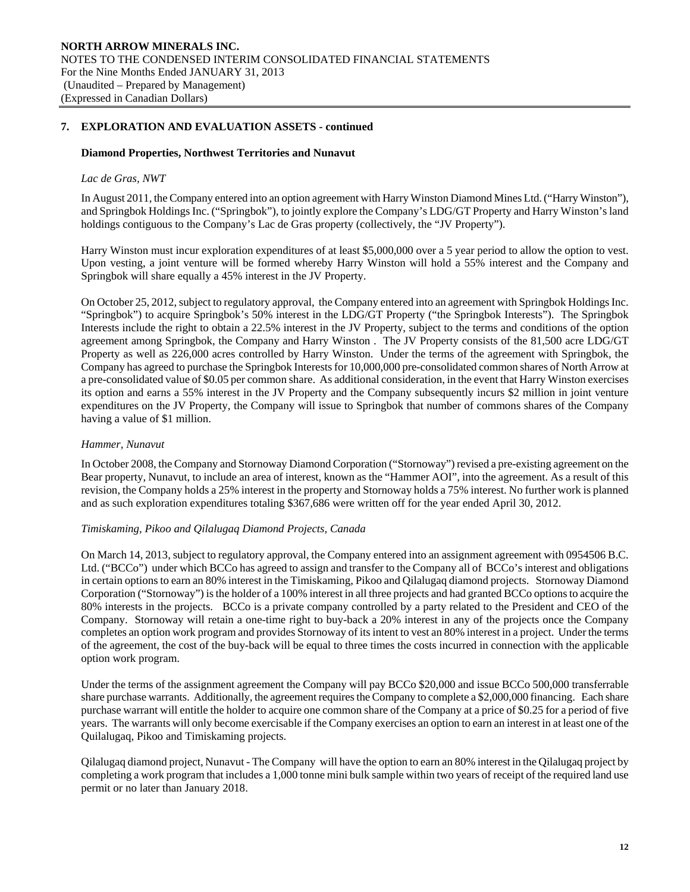#### **Diamond Properties, Northwest Territories and Nunavut**

#### *Lac de Gras, NWT*

In August 2011, the Company entered into an option agreement with Harry Winston Diamond Mines Ltd. ("Harry Winston"), and Springbok Holdings Inc. ("Springbok"), to jointly explore the Company's LDG/GT Property and Harry Winston's land holdings contiguous to the Company's Lac de Gras property (collectively, the "JV Property").

Harry Winston must incur exploration expenditures of at least \$5,000,000 over a 5 year period to allow the option to vest. Upon vesting, a joint venture will be formed whereby Harry Winston will hold a 55% interest and the Company and Springbok will share equally a 45% interest in the JV Property.

On October 25, 2012, subject to regulatory approval, the Company entered into an agreement with Springbok Holdings Inc. "Springbok") to acquire Springbok's 50% interest in the LDG/GT Property ("the Springbok Interests"). The Springbok Interests include the right to obtain a 22.5% interest in the JV Property, subject to the terms and conditions of the option agreement among Springbok, the Company and Harry Winston . The JV Property consists of the 81,500 acre LDG/GT Property as well as 226,000 acres controlled by Harry Winston. Under the terms of the agreement with Springbok, the Company has agreed to purchase the Springbok Interests for 10,000,000 pre-consolidated common shares of North Arrow at a pre-consolidated value of \$0.05 per common share. As additional consideration, in the event that Harry Winston exercises its option and earns a 55% interest in the JV Property and the Company subsequently incurs \$2 million in joint venture expenditures on the JV Property, the Company will issue to Springbok that number of commons shares of the Company having a value of \$1 million.

#### *Hammer, Nunavut*

In October 2008, the Company and Stornoway Diamond Corporation ("Stornoway") revised a pre-existing agreement on the Bear property, Nunavut, to include an area of interest, known as the "Hammer AOI", into the agreement. As a result of this revision, the Company holds a 25% interest in the property and Stornoway holds a 75% interest. No further work is planned and as such exploration expenditures totaling \$367,686 were written off for the year ended April 30, 2012.

#### *Timiskaming, Pikoo and Qilalugaq Diamond Projects, Canada*

On March 14, 2013, subject to regulatory approval, the Company entered into an assignment agreement with 0954506 B.C. Ltd. ("BCCo") under which BCCo has agreed to assign and transfer to the Company all of BCCo's interest and obligations in certain options to earn an 80% interest in the Timiskaming, Pikoo and Qilalugaq diamond projects. Stornoway Diamond Corporation ("Stornoway") is the holder of a 100% interest in all three projects and had granted BCCo options to acquire the 80% interests in the projects. BCCo is a private company controlled by a party related to the President and CEO of the Company. Stornoway will retain a one-time right to buy-back a 20% interest in any of the projects once the Company completes an option work program and provides Stornoway of its intent to vest an 80% interest in a project. Under the terms of the agreement, the cost of the buy-back will be equal to three times the costs incurred in connection with the applicable option work program.

Under the terms of the assignment agreement the Company will pay BCCo \$20,000 and issue BCCo 500,000 transferrable share purchase warrants. Additionally, the agreement requires the Company to complete a \$2,000,000 financing. Each share purchase warrant will entitle the holder to acquire one common share of the Company at a price of \$0.25 for a period of five years. The warrants will only become exercisable if the Company exercises an option to earn an interest in at least one of the Quilalugaq, Pikoo and Timiskaming projects.

Qilalugaq diamond project, Nunavut - The Company will have the option to earn an 80% interest in the Qilalugaq project by completing a work program that includes a 1,000 tonne mini bulk sample within two years of receipt of the required land use permit or no later than January 2018.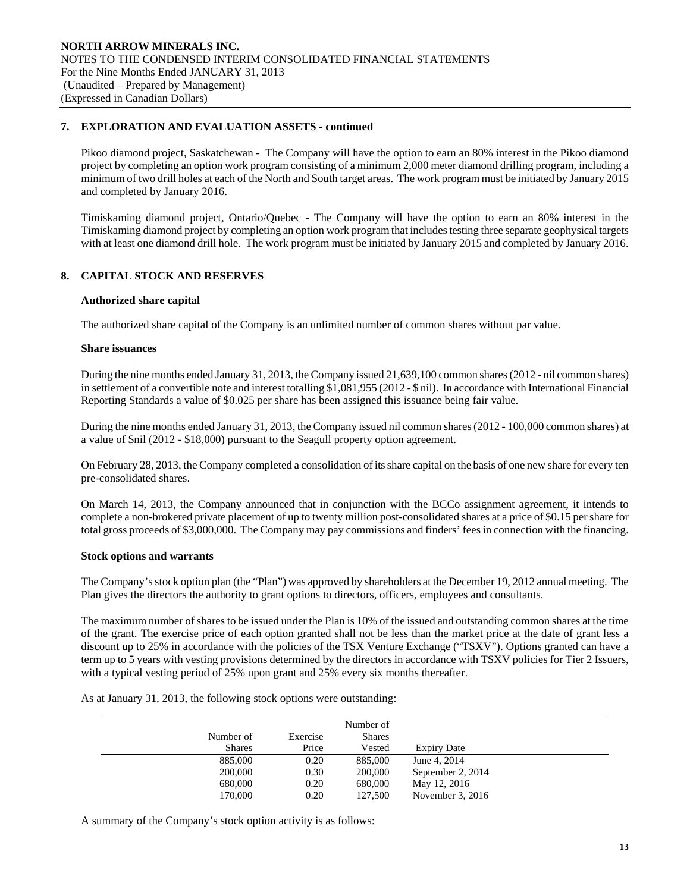Pikoo diamond project, Saskatchewan - The Company will have the option to earn an 80% interest in the Pikoo diamond project by completing an option work program consisting of a minimum 2,000 meter diamond drilling program, including a minimum of two drill holes at each of the North and South target areas. The work program must be initiated by January 2015 and completed by January 2016.

Timiskaming diamond project, Ontario/Quebec - The Company will have the option to earn an 80% interest in the Timiskaming diamond project by completing an option work program that includes testing three separate geophysical targets with at least one diamond drill hole. The work program must be initiated by January 2015 and completed by January 2016.

# **8. CAPITAL STOCK AND RESERVES**

## **Authorized share capital**

The authorized share capital of the Company is an unlimited number of common shares without par value.

#### **Share issuances**

During the nine months ended January 31, 2013, the Company issued 21,639,100 common shares (2012 - nil common shares) in settlement of a convertible note and interest totalling \$1,081,955 (2012 - \$ nil). In accordance with International Financial Reporting Standards a value of \$0.025 per share has been assigned this issuance being fair value.

During the nine months ended January 31, 2013, the Company issued nil common shares (2012 - 100,000 common shares) at a value of \$nil (2012 - \$18,000) pursuant to the Seagull property option agreement.

On February 28, 2013, the Company completed a consolidation of its share capital on the basis of one new share for every ten pre-consolidated shares.

On March 14, 2013, the Company announced that in conjunction with the BCCo assignment agreement, it intends to complete a non-brokered private placement of up to twenty million post-consolidated shares at a price of \$0.15 per share for total gross proceeds of \$3,000,000. The Company may pay commissions and finders' fees in connection with the financing.

## **Stock options and warrants**

The Company's stock option plan (the "Plan") was approved by shareholders at the December 19, 2012 annual meeting. The Plan gives the directors the authority to grant options to directors, officers, employees and consultants.

 The maximum number of shares to be issued under the Plan is 10% of the issued and outstanding common shares at the time of the grant. The exercise price of each option granted shall not be less than the market price at the date of grant less a discount up to 25% in accordance with the policies of the TSX Venture Exchange ("TSXV"). Options granted can have a term up to 5 years with vesting provisions determined by the directors in accordance with TSXV policies for Tier 2 Issuers, with a typical vesting period of 25% upon grant and 25% every six months thereafter.

As at January 31, 2013, the following stock options were outstanding:

|               |          | Number of     |                    |  |
|---------------|----------|---------------|--------------------|--|
| Number of     | Exercise | <b>Shares</b> |                    |  |
| <b>Shares</b> | Price    | Vested        | <b>Expiry Date</b> |  |
| 885,000       | 0.20     | 885,000       | June 4, 2014       |  |
| 200,000       | 0.30     | 200,000       | September 2, 2014  |  |
| 680,000       | 0.20     | 680,000       | May 12, 2016       |  |
| 170,000       | 0.20     | 127,500       | November $3, 2016$ |  |

A summary of the Company's stock option activity is as follows: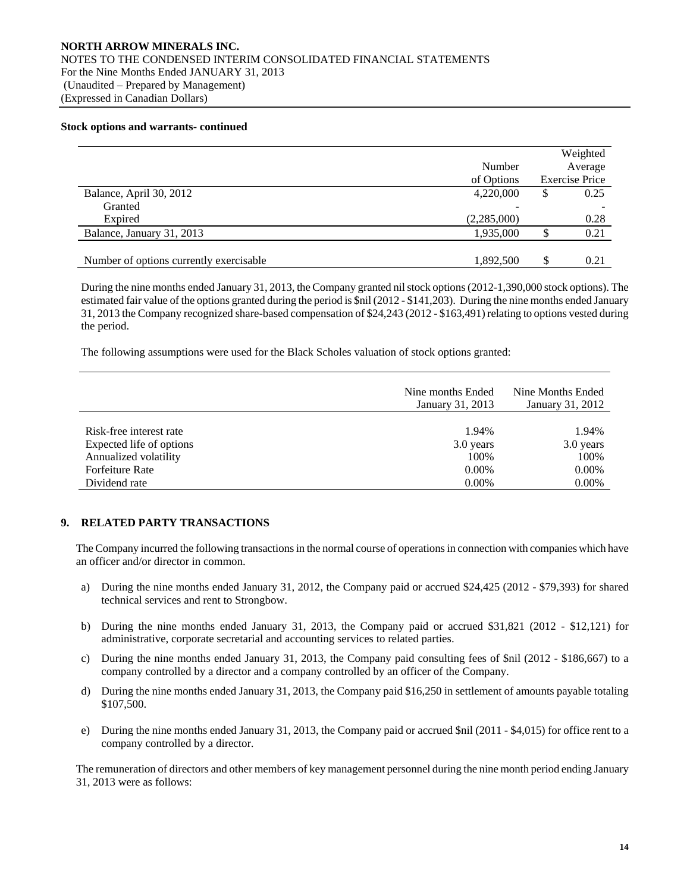#### **Stock options and warrants- continued**

|                                         | Number<br>of Options | Weighted<br>Average<br><b>Exercise Price</b> |
|-----------------------------------------|----------------------|----------------------------------------------|
| Balance, April 30, 2012                 | 4,220,000            | \$<br>0.25                                   |
| Granted                                 |                      |                                              |
| Expired                                 | (2,285,000)          | 0.28                                         |
| Balance, January 31, 2013               | 1,935,000            | 0.21                                         |
| Number of options currently exercisable | 1,892,500            | \$<br>0.21                                   |

 During the nine months ended January 31, 2013, the Company granted nil stock options (2012-1,390,000 stock options). The estimated fair value of the options granted during the period is \$nil (2012 - \$141,203). During the nine months ended January 31, 2013 the Company recognized share-based compensation of \$24,243 (2012 - \$163,491) relating to options vested during the period.

The following assumptions were used for the Black Scholes valuation of stock options granted:

|                          | Nine months Ended<br>January 31, 2013 | Nine Months Ended<br>January 31, 2012 |
|--------------------------|---------------------------------------|---------------------------------------|
|                          |                                       |                                       |
| Risk-free interest rate  | 1.94%                                 | 1.94%                                 |
| Expected life of options | 3.0 years                             | 3.0 years                             |
| Annualized volatility    | 100%                                  | 100%                                  |
| Forfeiture Rate          | $0.00\%$                              | $0.00\%$                              |
| Dividend rate            | $0.00\%$                              | 0.00%                                 |

## **9. RELATED PARTY TRANSACTIONS**

The Company incurred the following transactions in the normal course of operations in connection with companies which have an officer and/or director in common.

- a) During the nine months ended January 31, 2012, the Company paid or accrued \$24,425 (2012 \$79,393) for shared technical services and rent to Strongbow.
- b) During the nine months ended January 31, 2013, the Company paid or accrued \$31,821 (2012 \$12,121) for administrative, corporate secretarial and accounting services to related parties.
- c) During the nine months ended January 31, 2013, the Company paid consulting fees of \$nil (2012 \$186,667) to a company controlled by a director and a company controlled by an officer of the Company.
- d) During the nine months ended January 31, 2013, the Company paid \$16,250 in settlement of amounts payable totaling \$107,500.
- e) During the nine months ended January 31, 2013, the Company paid or accrued \$nil (2011 \$4,015) for office rent to a company controlled by a director.

 The remuneration of directors and other members of key management personnel during the nine month period ending January 31, 2013 were as follows: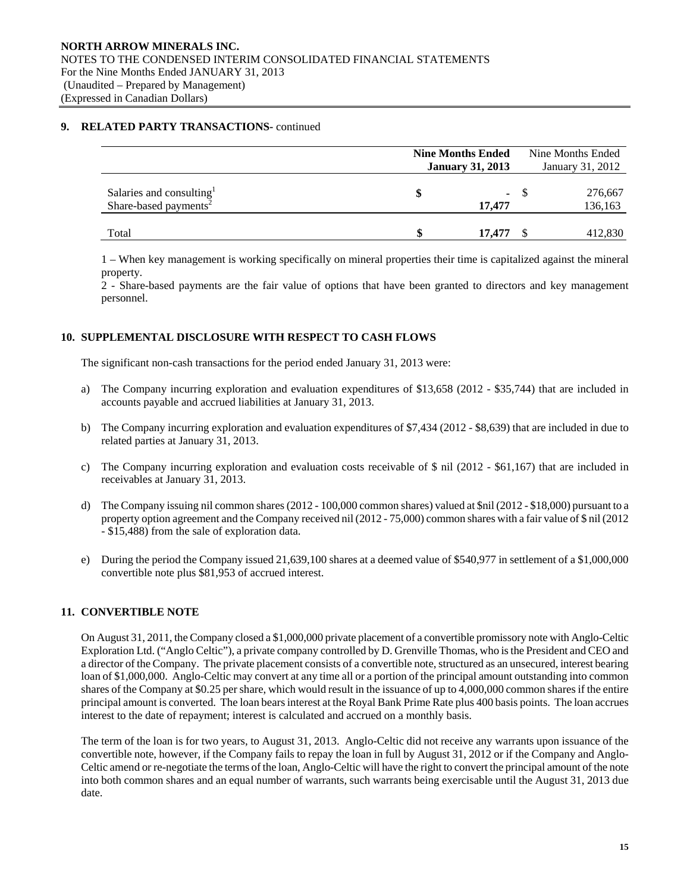## **9. RELATED PARTY TRANSACTIONS-** continued

|                                      | <b>Nine Months Ended</b> |            |                  | Nine Months Ended |
|--------------------------------------|--------------------------|------------|------------------|-------------------|
|                                      | <b>January 31, 2013</b>  |            | January 31, 2012 |                   |
|                                      |                          |            |                  |                   |
| Salaries and consulting <sup>1</sup> |                          | $\sim 100$ |                  | 276,667           |
| Share-based payments <sup>2</sup>    |                          | 17,477     |                  | 136,163           |
|                                      |                          |            |                  |                   |
| Total                                |                          | 17,477     |                  | 412,830           |

1 – When key management is working specifically on mineral properties their time is capitalized against the mineral property.

2 - Share-based payments are the fair value of options that have been granted to directors and key management personnel.

# **10. SUPPLEMENTAL DISCLOSURE WITH RESPECT TO CASH FLOWS**

The significant non-cash transactions for the period ended January 31, 2013 were:

- a) The Company incurring exploration and evaluation expenditures of \$13,658 (2012 \$35,744) that are included in accounts payable and accrued liabilities at January 31, 2013.
- b) The Company incurring exploration and evaluation expenditures of \$7,434 (2012 \$8,639) that are included in due to related parties at January 31, 2013.
- c) The Company incurring exploration and evaluation costs receivable of \$ nil (2012 \$61,167) that are included in receivables at January 31, 2013.
- d) The Company issuing nil common shares (2012 100,000 common shares) valued at \$nil (2012 \$18,000) pursuant to a property option agreement and the Company received nil (2012 - 75,000) common shares with a fair value of \$ nil (2012 - \$15,488) from the sale of exploration data.
- e) During the period the Company issued 21,639,100 shares at a deemed value of \$540,977 in settlement of a \$1,000,000 convertible note plus \$81,953 of accrued interest.

## **11. CONVERTIBLE NOTE**

 On August 31, 2011, the Company closed a \$1,000,000 private placement of a convertible promissory note with Anglo-Celtic Exploration Ltd. ("Anglo Celtic"), a private company controlled by D. Grenville Thomas, who is the President and CEO and a director of the Company. The private placement consists of a convertible note, structured as an unsecured, interest bearing loan of \$1,000,000. Anglo-Celtic may convert at any time all or a portion of the principal amount outstanding into common shares of the Company at \$0.25 per share, which would result in the issuance of up to 4,000,000 common shares if the entire principal amount is converted. The loan bears interest at the Royal Bank Prime Rate plus 400 basis points. The loan accrues interest to the date of repayment; interest is calculated and accrued on a monthly basis.

 The term of the loan is for two years, to August 31, 2013. Anglo-Celtic did not receive any warrants upon issuance of the convertible note, however, if the Company fails to repay the loan in full by August 31, 2012 or if the Company and Anglo-Celtic amend or re-negotiate the terms of the loan, Anglo-Celtic will have the right to convert the principal amount of the note into both common shares and an equal number of warrants, such warrants being exercisable until the August 31, 2013 due date.